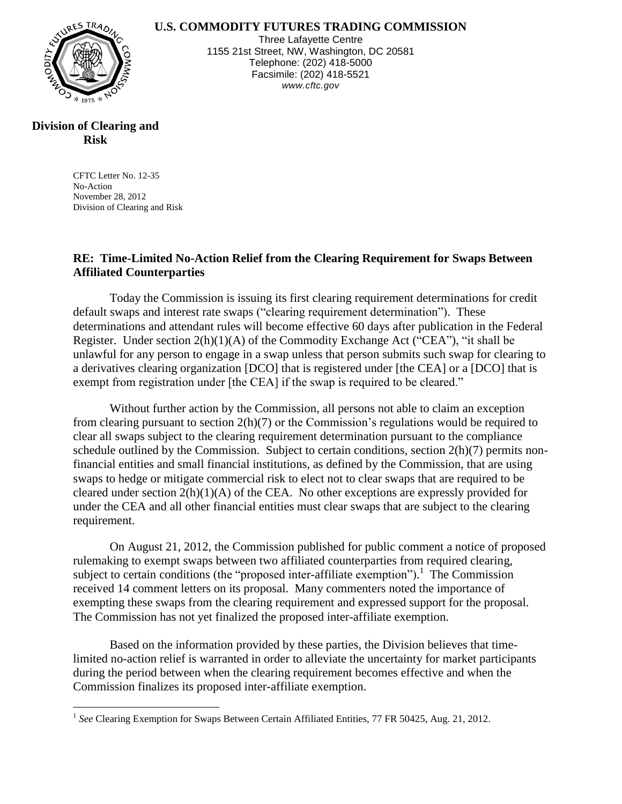**U.S. COMMODITY FUTURES TRADING COMMISSION**



Three Lafayette Centre 1155 21st Street, NW, Washington, DC 20581 Telephone: (202) 418-5000 Facsimile: (202) 418-5521 *www.cftc.gov*

## **Division of Clearing and Risk**

 $\overline{a}$ 

CFTC Letter No. 12-35 No-Action November 28, 2012 Division of Clearing and Risk

## **RE: Time-Limited No-Action Relief from the Clearing Requirement for Swaps Between Affiliated Counterparties**

Today the Commission is issuing its first clearing requirement determinations for credit default swaps and interest rate swaps ("clearing requirement determination"). These determinations and attendant rules will become effective 60 days after publication in the Federal Register. Under section  $2(h)(1)(A)$  of the Commodity Exchange Act ("CEA"), "it shall be unlawful for any person to engage in a swap unless that person submits such swap for clearing to a derivatives clearing organization [DCO] that is registered under [the CEA] or a [DCO] that is exempt from registration under [the CEA] if the swap is required to be cleared."

Without further action by the Commission, all persons not able to claim an exception from clearing pursuant to section 2(h)(7) or the Commission's regulations would be required to clear all swaps subject to the clearing requirement determination pursuant to the compliance schedule outlined by the Commission. Subject to certain conditions, section 2(h)(7) permits nonfinancial entities and small financial institutions, as defined by the Commission, that are using swaps to hedge or mitigate commercial risk to elect not to clear swaps that are required to be cleared under section  $2(h)(1)(A)$  of the CEA. No other exceptions are expressly provided for under the CEA and all other financial entities must clear swaps that are subject to the clearing requirement.

On August 21, 2012, the Commission published for public comment a notice of proposed rulemaking to exempt swaps between two affiliated counterparties from required clearing, subject to certain conditions (the "proposed inter-affiliate exemption").<sup>1</sup> The Commission received 14 comment letters on its proposal. Many commenters noted the importance of exempting these swaps from the clearing requirement and expressed support for the proposal. The Commission has not yet finalized the proposed inter-affiliate exemption.

Based on the information provided by these parties, the Division believes that timelimited no-action relief is warranted in order to alleviate the uncertainty for market participants during the period between when the clearing requirement becomes effective and when the Commission finalizes its proposed inter-affiliate exemption.

<sup>&</sup>lt;sup>1</sup> See Clearing Exemption for Swaps Between Certain Affiliated Entities, 77 FR 50425, Aug. 21, 2012.